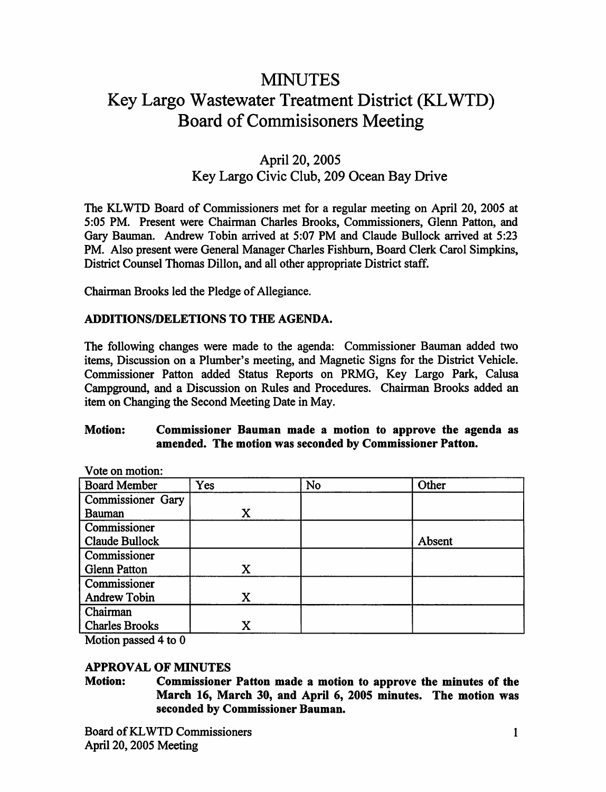# **MINUTES** Key Largo Wastewater Treatment District (KL WTD) Board of Commisisoners Meeting

# April 20, 2005 Key Largo Civic Club, 209 Ocean Bay Drive

The KL WTD Board of Commissioners met for a regular meeting on April 20, 2005 at *5* :05 PM. Present were Chairman Charles Brooks, Commissioners, Glenn Patton, and Gary Bauman. Andrew Tobin arrived at 5:07 PM and Claude Bullock arrived at 5:23 PM. Also present were General Manager Charles Fishburn, Board Clerk Carol Simpkins, District Counsel Thomas Dillon, and all other appropriate District staff.

Chairman Brooks led the Pledge of Allegiance.

# ADDITIONS/DELETIONS TO THE AGENDA.

The following changes were made to the agenda: Commissioner Bauman added two items, Discussion on a Plumber's meeting, and Magnetic Signs for the District Vehicle. Commissioner Patton added Status Reports on PRMG, Key Largo Park, Calusa Campground, and a Discussion on Rules and Procedures. Chairman Brooks added an item on Changing the Second Meeting Date in May.

#### Motion: Commissioner Bauman made a motion to approve the agenda as amended. The motion was seconded by Commissioner Patton.

| <b>Board Member</b>      | Yes          | No | Other  |
|--------------------------|--------------|----|--------|
| <b>Commissioner Gary</b> |              |    |        |
| Bauman                   | $\mathbf{X}$ |    |        |
| Commissioner             |              |    |        |
| <b>Claude Bullock</b>    |              |    | Absent |
| Commissioner             |              |    |        |
| <b>Glenn Patton</b>      | X            |    |        |
| Commissioner             |              |    |        |
| <b>Andrew Tobin</b>      | X            |    |        |
| Chairman                 |              |    |        |
| <b>Charles Brooks</b>    |              |    |        |

Vote on motion:

Motion passed 4 to 0

# APPROVAL OF MINUTES

Motion: Commissioner Patton made a motion to approve the minutes of the March 16, March 30, and April 6, 2005 minutes. The motion was seconded by Commissioner Bauman.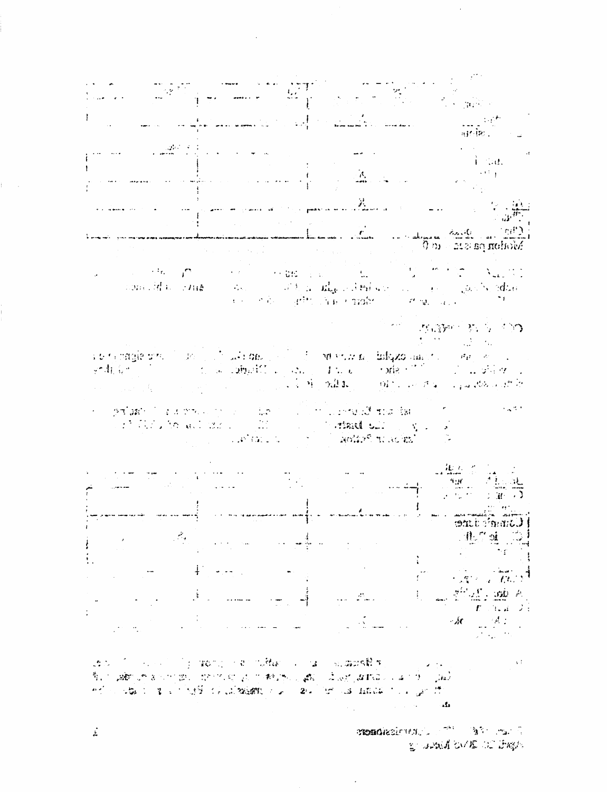

10 核酸的 拉克兰的  $\label{eq:2.1} \frac{1}{2} \left( \frac{1}{2} \frac{1}{2} \right) \left( \frac{1}{2} \frac{1}{2} \frac{1}{2} \right) \left( \frac{1}{2} \frac{1}{2} \frac{1}{2} \right) \left( \frac{1}{2} \frac{1}{2} \frac{1}{2} \right) \left( \frac{1}{2} \frac{1}{2} \frac{1}{2} \frac{1}{2} \right) \left( \frac{1}{2} \frac{1}{2} \frac{1}{2} \frac{1}{2} \frac{1}{2} \right) \left( \frac{1}{2} \frac{1}{2} \frac{1}{2} \frac{1$ 

 $\sim 10^{11}$ 

| ------                                        | search and the state of the control of                                              | $\mathcal{O}(10^{11} \, \rm{Mpc})$ . The contract of the contract of the contract of the contract of the contract of the contract of the contract of the contract of the contract of the contract of the contract of the contract of the | the state of the state of the state of<br>the state of the control of | <b>MAIL COMPANY</b><br>14.0 | $\cdot$ . | $6.96\%$<br>an Bearn<br>George M                                                                                                                                                                                                                                                                                                                                                                                            | : 36 - D                                                                                   |
|-----------------------------------------------|-------------------------------------------------------------------------------------|------------------------------------------------------------------------------------------------------------------------------------------------------------------------------------------------------------------------------------------|-----------------------------------------------------------------------|-----------------------------|-----------|-----------------------------------------------------------------------------------------------------------------------------------------------------------------------------------------------------------------------------------------------------------------------------------------------------------------------------------------------------------------------------------------------------------------------------|--------------------------------------------------------------------------------------------|
|                                               |                                                                                     |                                                                                                                                                                                                                                          | ¶. ∣                                                                  |                             |           | Committee                                                                                                                                                                                                                                                                                                                                                                                                                   | الرواقين                                                                                   |
| the contract of the con-                      |                                                                                     | <b>Service</b><br>case of the<br><b>Contract Contract Contract</b>                                                                                                                                                                       | <b>Contract Contract Contract Contract</b><br><b>Service Control</b>  |                             | $\cdots$  | 电子链                                                                                                                                                                                                                                                                                                                                                                                                                         | $\bullet$ , where $\bullet$                                                                |
|                                               | $\mathcal{L}^{\text{max}}_{\text{max}}$ and $\mathcal{L}^{\text{max}}_{\text{max}}$ |                                                                                                                                                                                                                                          |                                                                       |                             |           | $\label{eq:4} \frac{1}{2}\int_{\mathbb{R}^3} \frac{1}{\sqrt{2}} \int_{\mathbb{R}^3} \frac{1}{\sqrt{2}} \int_{\mathbb{R}^3} \frac{1}{\sqrt{2}} \int_{\mathbb{R}^3} \frac{1}{\sqrt{2}} \int_{\mathbb{R}^3} \frac{1}{\sqrt{2}} \int_{\mathbb{R}^3} \frac{1}{\sqrt{2}} \int_{\mathbb{R}^3} \frac{1}{\sqrt{2}} \int_{\mathbb{R}^3} \frac{1}{\sqrt{2}} \int_{\mathbb{R}^3} \frac{1}{\sqrt{2}} \int_{\mathbb{R}$<br><b>光星: 頭</b> A |                                                                                            |
| <b><i>Command Command Command Command</i></b> | $\bullet$ . The set of $\bullet$                                                    | the company's company's and<br>the property of                                                                                                                                                                                           |                                                                       | $\ddotsc$                   |           | $\mathscr{A}$                                                                                                                                                                                                                                                                                                                                                                                                               | المعانية والأراد<br>$\mathcal{L}_{\mathbf{a}}\mathbf{b}=\mathbf{b}$<br>$\bullet$ $\bullet$ |

ുകോണ് സംസ്ഥാന സ്വസ്തമായി സ്കോസ് ചെയ്യുകളിന്റെ സാഹ്മാനം പ്രതിക്കുന്നത്.  $\sim 100$ Authorization and the state of the property of the state of the state of the state of the state of the state of the state of the state of the state of the state of the state of the state of the state of the state of the st and conduct of a single relationship and and the conditional conduction of the فألقد المتحدث والمنازل

> cromolectronship of the first first first first first first first **E LANGE OF BREA**

 $\mathbb{R}$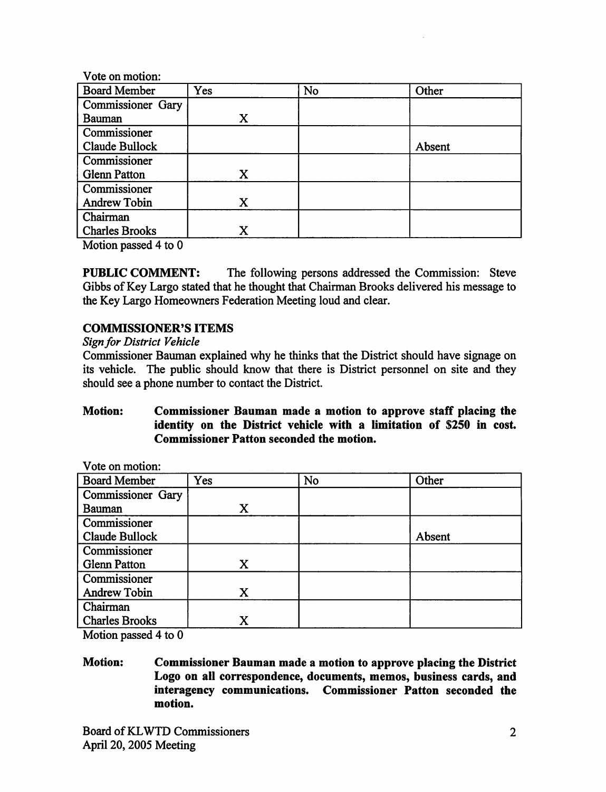| Vote on motion:          |             |           |        |
|--------------------------|-------------|-----------|--------|
| <b>Board Member</b>      | Yes         | <b>No</b> | Other  |
| <b>Commissioner Gary</b> |             |           |        |
| Bauman                   | X           |           |        |
| Commissioner             |             |           |        |
| <b>Claude Bullock</b>    |             |           | Absent |
| Commissioner             |             |           |        |
| <b>Glenn Patton</b>      | X           |           |        |
| Commissioner             |             |           |        |
| <b>Andrew Tobin</b>      | $\mathbf X$ |           |        |
| Chairman                 |             |           |        |
| <b>Charles Brooks</b>    |             |           |        |

Motion passed 4 to 0

PUBLIC COMMENT: The following persons addressed the Commission: Steve Gibbs of Key Largo stated that he thought that Chairman Brooks delivered his message to the Key Largo Homeowners Federation Meeting loud and clear.

# COMMISSIONER'S ITEMS

*Sign for District Vehicle* 

Commissioner Bauman explained why he thinks that the District should have signage on its vehicle. The public should know that there is District personnel on site and they should see a phone number to contact the District.

#### Motion: Commissioner Bauman made a motion to approve staff placing the identity on the District vehicle with a limitation of \$250 in cost. Commissioner Patton seconded the motion.

| voie on motion:          |             |    |        |
|--------------------------|-------------|----|--------|
| <b>Board Member</b>      | Yes         | No | Other  |
| <b>Commissioner Gary</b> |             |    |        |
| <b>Bauman</b>            | X           |    |        |
| Commissioner             |             |    |        |
| <b>Claude Bullock</b>    |             |    | Absent |
| Commissioner             |             |    |        |
| <b>Glenn Patton</b>      | $\mathbf X$ |    |        |
| Commissioner             |             |    |        |
| <b>Andrew Tobin</b>      | $\mathbf X$ |    |        |
| Chairman                 |             |    |        |
| <b>Charles Brooks</b>    | X           |    |        |

Vote on motion:

Motion passed 4 to 0

Motion: Commissioner Bauman made a motion to approve placing the District Logo on all correspondence, documents, memos, business cards, and interagency communications. Commissioner Patton seconded the motion.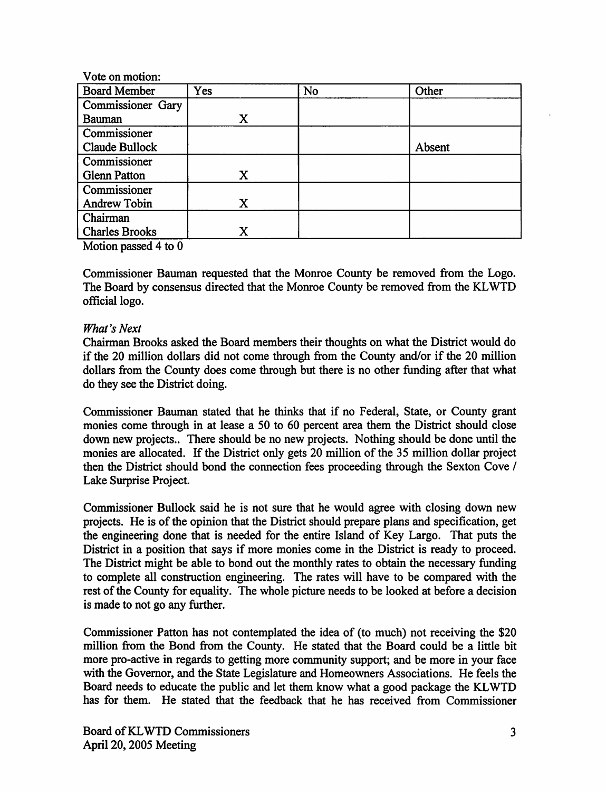| Vote on motion:          |     |           |        |
|--------------------------|-----|-----------|--------|
| <b>Board Member</b>      | Yes | <b>No</b> | Other  |
| <b>Commissioner Gary</b> |     |           |        |
| <b>Bauman</b>            | X   |           |        |
| Commissioner             |     |           |        |
| <b>Claude Bullock</b>    |     |           | Absent |
| Commissioner             |     |           |        |
| <b>Glenn Patton</b>      | X   |           |        |
| Commissioner             |     |           |        |
| <b>Andrew Tobin</b>      | X   |           |        |
| Chairman                 |     |           |        |
| <b>Charles Brooks</b>    | X   |           |        |

Motion passed 4 to 0

Commissioner Bauman requested that the Monroe County be removed from the Logo. The Board by consensus directed that the Monroe County be removed from the KL WTD official logo.

#### *What's Next*

Chairman Brooks asked the Board members their thoughts on what the District would do if the 20 million dollars did not come through from the County and/or if the 20 million dollars from the County does come through but there is no other funding after that what do they see the District doing.

Commissioner Bauman stated that he thinks that if no Federal, State, or County grant monies come through in at lease a 50 to 60 percent area them the District should close down new projects.. There should be no new projects. Nothing should be done until the monies are allocated. If the District only gets 20 million of the 35 million dollar project then the District should bond the connection fees proceeding through the Sexton Cove / Lake Surprise Project.

Commissioner Bullock said he is not sure that he would agree with closing down new projects. He is of the opinion that the District should prepare plans and specification, get the engineering done that is needed for the entire Island of Key Largo. That puts the District in a position that says if more monies come in the District is ready to proceed. The District might be able to bond out the monthly rates to obtain the necessary funding to complete all construction engineering. The rates will have to be compared with the rest of the County for equality. The whole picture needs to be looked at before a decision is made to not go any further.

Commissioner Patton has not contemplated the idea of (to much) not receiving the \$20 million from the Bond from the County. He stated that the Board could be a little bit more pro-active in regards to getting more community support; and be more in your face with the Governor, and the State Legislature and Homeowners Associations. He feels the Board needs to educate the public and let them know what a good package the KL WTD has for them. He stated that the feedback that he has received from Commissioner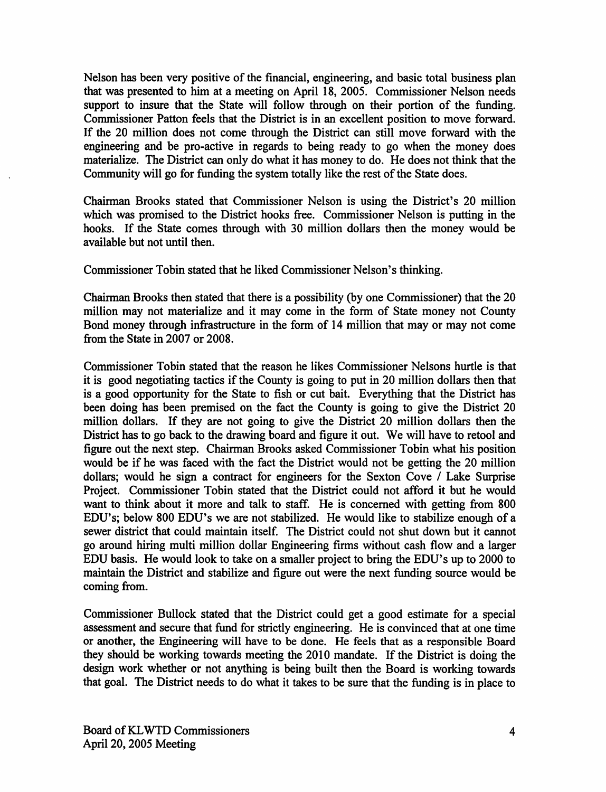Nelson has been very positive of the financial, engineering, and basic total business plan that was presented to him at a meeting on April 18, 2005. Commissioner Nelson needs support to insure that the State will follow through on their portion of the funding. Commissioner Patton feels that the District is in an excellent position to move forward. If the 20 million does not come through the District can still move forward with the engineering and be pro-active in regards to being ready to go when the money does materialize. The District can only do what it has money to do. He does not think that the Community will go for funding the system totally like the rest of the State does.

Chairman Brooks stated that Commissioner Nelson is using the District's 20 million which was promised to the District hooks free. Commissioner Nelson is putting in the hooks. If the State comes through with 30 million dollars then the money would be available but not until then.

Commissioner Tobin stated that he liked Commissioner Nelson's thinking.

Chairman Brooks then stated that there is a possibility (by one Commissioner) that the 20 million may not materialize and it may come in the form of State money not County Bond money through infrastructure in the form of 14 million that may or may not come from the State in 2007 or 2008.

Commissioner Tobin stated that the reason he likes Commissioner Nelsons hurtle is that it is good negotiating tactics if the County is going to put in 20 million dollars then that is a good opportunity for the State to fish or cut bait. Everything that the District has been doing has been premised on the fact the County is going to give the District 20 million dollars. If they are not going to give the District 20 million dollars then the District has to go back to the drawing board and figure it out. We will have to retool and figure out the next step. Chairman Brooks asked Commissioner Tobin what his position would be if he was faced with the fact the District would not be getting the 20 million dollars; would he sign a contract for engineers for the Sexton Cove / Lake Surprise Project. Commissioner Tobin stated that the District could not afford it but he would want to think about it more and talk to staff. He is concerned with getting from 800 EDU's; below 800 EDU's we are not stabilized. He would like to stabilize enough of a sewer district that could maintain itself. The District could not shut down but it cannot go around hiring multi million dollar Engineering firms without cash flow and a larger EDU basis. He would look to take on a smaller project to bring the EDU's up to 2000 to maintain the District and stabilize and figure out were the next funding source would be coming from.

Commissioner Bullock stated that the District could get a good estimate for a special assessment and secure that fund for strictly engineering. He is convinced that at one time or another, the Engineering will have to be done. He feels that as a responsible Board they should be working towards meeting the 2010 mandate. If the District is doing the design work whether or not anything is being built then the Board is working towards that goal. The District needs to do what it takes to be sure that the funding is in place to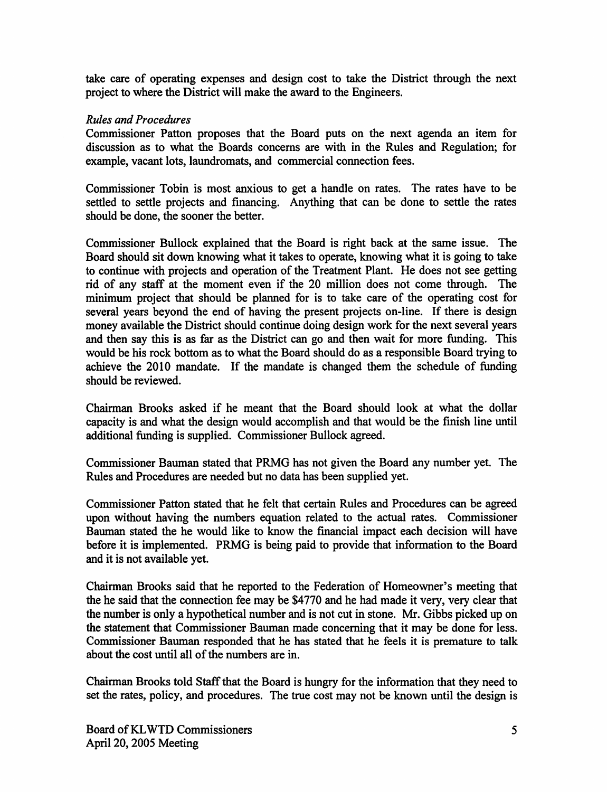take care of operating expenses and design cost to take the District through the next project to where the District will make the award to the Engineers.

#### *Rules and Procedures*

Commissioner Patton proposes that the Board puts on the next agenda an item for discussion as to what the Boards concerns are with in the Rules and Regulation; for example, vacant lots, laundromats, and commercial connection fees.

Commissioner Tobin is most anxious to get a handle on rates. The rates have to be settled to settle projects and financing. Anything that can be done to settle the rates should be done, the sooner the better.

Commissioner Bullock explained that the Board is right back at the same issue. The Board should sit down knowing what it takes to operate, knowing what it is going to take to continue with projects and operation of the Treatment Plant. He does not see getting rid of any staff at the moment even if the 20 million does not come through. The minimum project that should be planned for is to take care of the operating cost for several years beyond the end of having the present projects on-line. If there is design money available the District should continue doing design work for the next several years and then say this is as far as the District can go and then wait for more funding. This would be his rock bottom as to what the Board should do as a responsible Board trying to achieve the 2010 mandate. If the mandate is changed them the schedule of funding should be reviewed.

Chairman Brooks asked if he meant that the Board should look at what the dollar capacity is and what the design would accomplish and that would be the finish line until additional funding is supplied. Commissioner Bullock agreed.

Commissioner Bauman stated that PRMG has not given the Board any number yet. The Rules and Procedures are needed but no data has been supplied yet.

Commissioner Patton stated that he felt that certain Rules and Procedures can be agreed upon without having the numbers equation related to the actual rates. Commissioner Bauman stated the he would like to know the financial impact each decision will have before it is implemented. PRMG is being paid to provide that information to the Board and it is not available yet.

Chairman Brooks said that he reported to the Federation of Homeowner's meeting that the he said that the connection fee may be \$4 770 and he had made it very, very clear that the number is only a hypothetical number and is not cut in stone. Mr. Gibbs picked up on the statement that Commissioner Bauman made concerning that it may be done for less. Commissioner Bauman responded that he has stated that he feels it is premature to talk about the cost until all of the numbers are in.

Chairman Brooks told Staff that the Board is hungry for the information that they need to set the rates, policy, and procedures. The true cost may not be known until the design is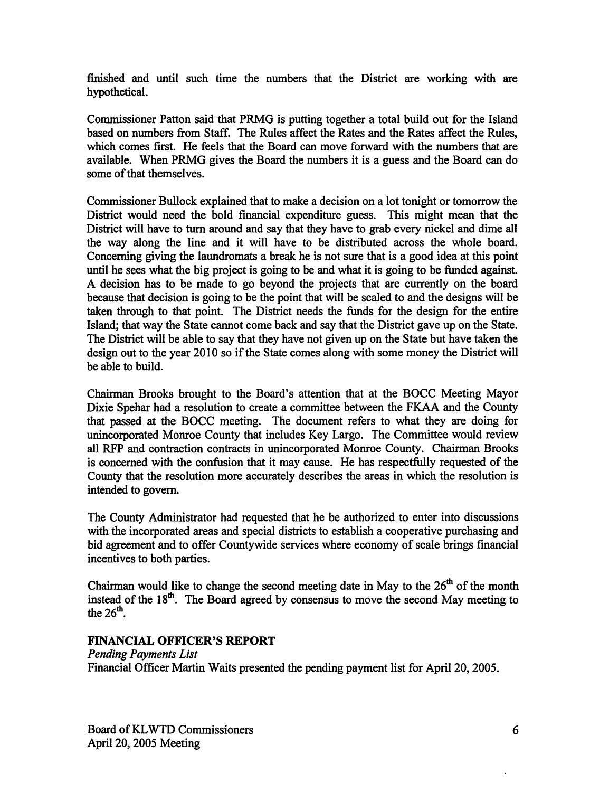finished and until such time the numbers that the District are working with are hypothetical.

Commissioner Patton said that PRMG is putting together a total build out for the Island based on numbers from Staff. The Rules affect the Rates and the Rates affect the Rules, which comes first. He feels that the Board can move forward with the numbers that are available. When PRMG gives the Board the numbers it is a guess and the Board can do some of that themselves.

Commissioner Bullock explained that to make a decision on a lot tonight or tomorrow the District would need the bold financial expenditure guess. This might mean that the District will have to turn around and say that they have to grab every nickel and dime all the way along the line and it will have to be distributed across the whole board. Concerning giving the laundromats a break he is not sure that is a good idea at this point until he sees what the big project is going to be and what it is going to be funded against. A decision has to be made to go beyond the projects that are currently on the board because that decision is going to be the point that will be scaled to and the designs will be taken through to that point. The District needs the funds for the design for the entire Island; that way the State cannot come back and say that the District gave up on the State. The District will be able to say that they have not given up on the State but have taken the design out to the year 2010 so if the State comes along with some money the District will be able to build.

Chairman Brooks brought to the Board's attention that at the BOCC Meeting Mayor Dixie Spehar had a resolution to create a committee between the FKAA and the County that passed at the BOCC meeting. The document refers to what they are doing for unincorporated Monroe County that includes Key Largo. The Committee would review all RFP and contraction contracts in unincorporated Monroe County. Chairman Brooks is concerned with the confusion that it may cause. He has respectfully requested of the County that the resolution more accurately describes the areas in which the resolution is intended to govern.

The County Administrator had requested that he be authorized to enter into discussions with the incorporated areas and special districts to establish a cooperative purchasing and bid agreement and to offer Countywide services where economy of scale brings financial incentives to both parties.

Chairman would like to change the second meeting date in May to the  $26<sup>th</sup>$  of the month instead of the 18<sup>th</sup>. The Board agreed by consensus to move the second May meeting to the  $26<sup>th</sup>$ .

# FINANCIAL OFFICER'S REPORT

*Pending Payments List*  Financial Officer Martin Waits presented the pending payment list for April 20, 2005.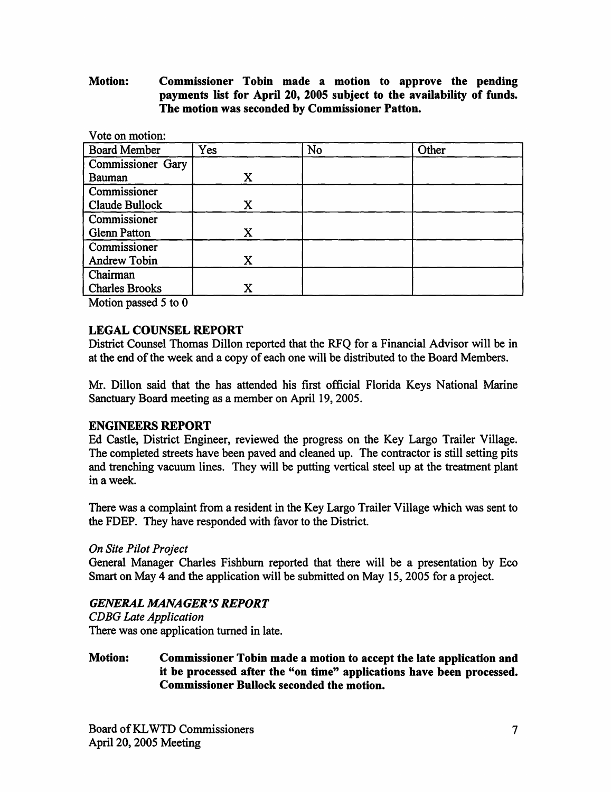# Motion: Commissioner Tobin made a motion to approve the pending payments list for April 20, 2005 subject to the availability of funds. The motion was seconded by Commissioner Patton.

| Vote on motion:                                                                 |             |    |       |
|---------------------------------------------------------------------------------|-------------|----|-------|
| <b>Board Member</b>                                                             | Yes         | No | Other |
| <b>Commissioner Gary</b>                                                        |             |    |       |
| Bauman                                                                          | X           |    |       |
| Commissioner                                                                    |             |    |       |
| <b>Claude Bullock</b>                                                           | $\mathbf x$ |    |       |
| Commissioner                                                                    |             |    |       |
| <b>Glenn Patton</b>                                                             | $\mathbf x$ |    |       |
| Commissioner                                                                    |             |    |       |
| <b>Andrew Tobin</b>                                                             | $\mathbf x$ |    |       |
| Chairman                                                                        |             |    |       |
| <b>Charles Brooks</b>                                                           | X           |    |       |
| $\mathbf{A}$ and $\mathbf{A}$ is a set of $\mathbf{A}$ is a set of $\mathbf{A}$ |             |    |       |

Motion passed 5 to 0

# LEGAL COUNSEL REPORT

District Counsel Thomas Dillon reported that the RFQ for a Financial Advisor will be in at the end of the week and a copy of each one will be distributed to the Board Members.

Mr. Dillon said that the has attended his first official Florida Keys National Marine Sanctuary Board meeting as a member on April 19, 2005.

# ENGINEERS REPORT

Ed Castle, District Engineer, reviewed the progress on the Key Largo Trailer Village. The completed streets have been paved and cleaned up. The contractor is still setting pits and trenching vacuum lines. They will be putting vertical steel up at the treatment plant ina week.

There was a complaint from a resident in the Key Largo Trailer Village which was sent to the FDEP. They have responded with favor to the District.

#### *On Site Pilot Project*

General Manager Charles Fishburn reported that there will be a presentation by Eco Smart on May 4 and the application will be submitted on May 15, 2005 for a project.

# *GENERAL MANAGER'S REPORT*

*CDBG Late Application* 

There was one application turned in late.

Motion: Commissioner Tobin made a motion to accept the late application and it be processed after the "on time" applications have been processed. Commissioner Bullock seconded the motion.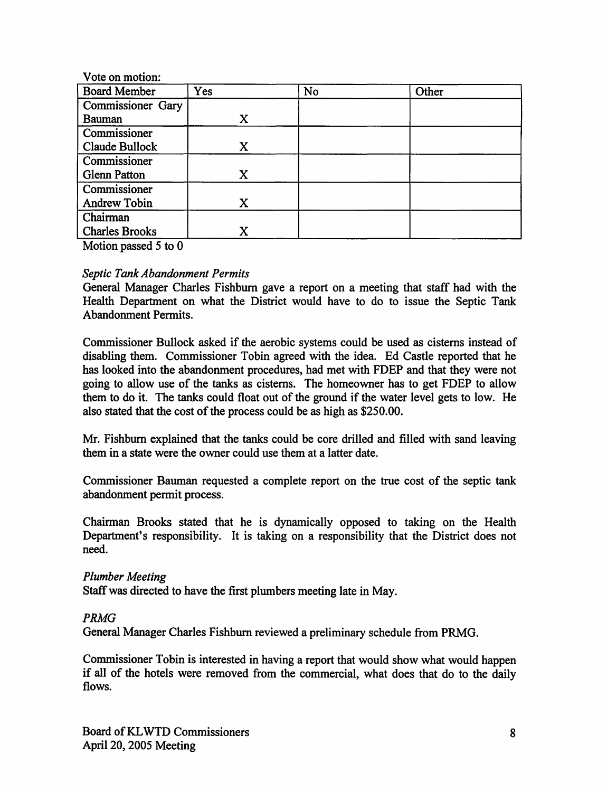| Vote on motion:       |             |    |       |  |
|-----------------------|-------------|----|-------|--|
| <b>Board Member</b>   | Yes         | No | Other |  |
| Commissioner Gary     |             |    |       |  |
| Bauman                | X           |    |       |  |
| Commissioner          |             |    |       |  |
| Claude Bullock        | X           |    |       |  |
| Commissioner          |             |    |       |  |
| <b>Glenn Patton</b>   | X           |    |       |  |
| Commissioner          |             |    |       |  |
| <b>Andrew Tobin</b>   | $\mathbf X$ |    |       |  |
| Chairman              |             |    |       |  |
| <b>Charles Brooks</b> |             |    |       |  |

Motion passed 5 to 0

#### *Septic Tank Abandonment Permits*

General Manager Charles Fishburn gave a report on a meeting that staff had with the Health Department on what the District would have to do to issue the Septic Tank Abandonment Permits.

Commissioner Bullock asked if the aerobic systems could be used as cisterns instead of disabling them. Commissioner Tobin agreed with the idea. Ed Castle reported that he has looked into the abandonment procedures, had met with FDEP and that they were not going to allow use of the tanks as cisterns. The homeowner has to get FDEP to allow them to do it. The tanks could float out of the ground if the water level gets to low. He also stated that the cost of the process could be as high as \$250.00.

Mr. Fishburn explained that the tanks could be core drilled and filled with sand leaving them in a state were the owner could use them at a latter date.

Commissioner Bauman requested a complete report on the true cost of the septic tank abandonment permit process.

Chairman Brooks stated that he is dynamically opposed to taking on the Health Department's responsibility. It is taking on a responsibility that the District does not need.

# *Plumber Meeting*  Staff was directed to have the first plumbers meeting late in May.

#### *PRMG*

General Manager Charles Fishburn reviewed a preliminary schedule from PRMG.

Commissioner Tobin is interested in having a report that would show what would happen if all of the hotels were removed from the commercial, what does that do to the daily flows.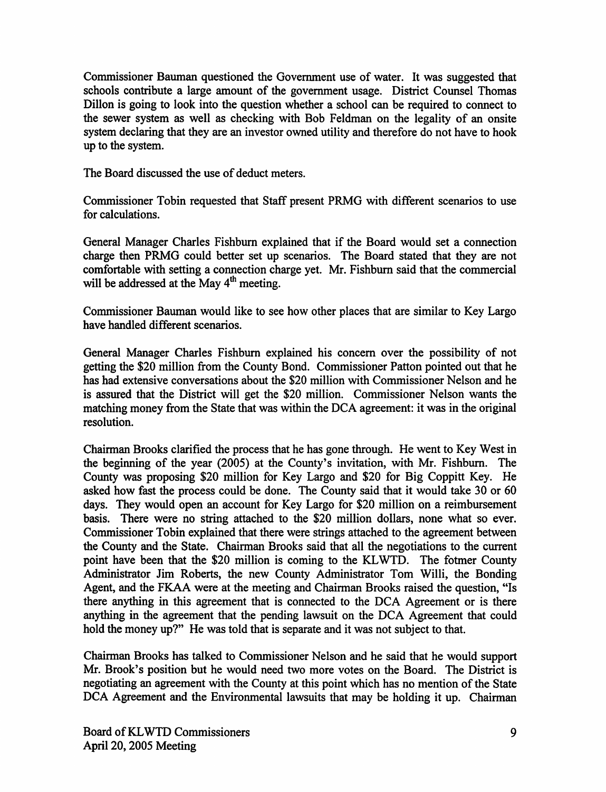Commissioner Bauman questioned the Government use of water. It was suggested that schools contribute a large amount of the government usage. District Counsel Thomas Dillon is going to look into the question whether a school can be required to connect to the sewer system as well as checking with Bob Feldman on the legality of an onsite system declaring that they are an investor owned utility and therefore do not have to hook up to the system.

The Board discussed the use of deduct meters.

Commissioner Tobin requested that Staff present PRMG with different scenarios to use for calculations.

General Manager Charles Fishburn explained that if the Board would set a connection charge then PRMG could better set up scenarios. The Board stated that they are not comfortable with setting a connection charge yet. Mr. Fishburn said that the commercial will be addressed at the May 4<sup>th</sup> meeting.

Commissioner Bauman would like to see how other places that are similar to Key Largo have handled different scenarios.

General Manager Charles Fishburn explained his concern over the possibility of not getting the \$20 million from the County Bond. Commissioner Patton pointed out that he has had extensive conversations about the \$20 million with Commissioner Nelson and he is assured that the District will get the \$20 million. Commissioner Nelson wants the matching money from the State that was within the DCA agreement: it was in the original resolution.

Chairman Brooks clarified the process that he has gone through. He went to Key West in the beginning of the year (2005) at the County's invitation, with Mr. Fishburn. The County was proposing \$20 million for Key Largo and \$20 for Big Coppitt Key. He asked how fast the process could be done. The County said that it would take 30 or 60 days. They would open an account for Key Largo for \$20 million on a reimbursement basis. There were no string attached to the \$20 million dollars, none what so ever. Commissioner Tobin explained that there were strings attached to the agreement between the County and the State. Chairman Brooks said that all the negotiations to the current point have been that the \$20 million is coming to the KL WTD. The fotmer County Administrator Jim Roberts, the new County Administrator Tom Willi, the Bonding Agent, and the FKAA were at the meeting and Chairman Brooks raised the question, "Is there anything in this agreement that is connected to the DCA Agreement or is there anything in the agreement that the pending lawsuit on the DCA Agreement that could hold the money up?" He was told that is separate and it was not subject to that.

Chairman Brooks has talked to Commissioner Nelson and he said that he would support Mr. Brook's position but he would need two more votes on the Board. The District is negotiating an agreement with the County at this point which has no mention of the State DCA Agreement and the Environmental lawsuits that may be holding it up. Chairman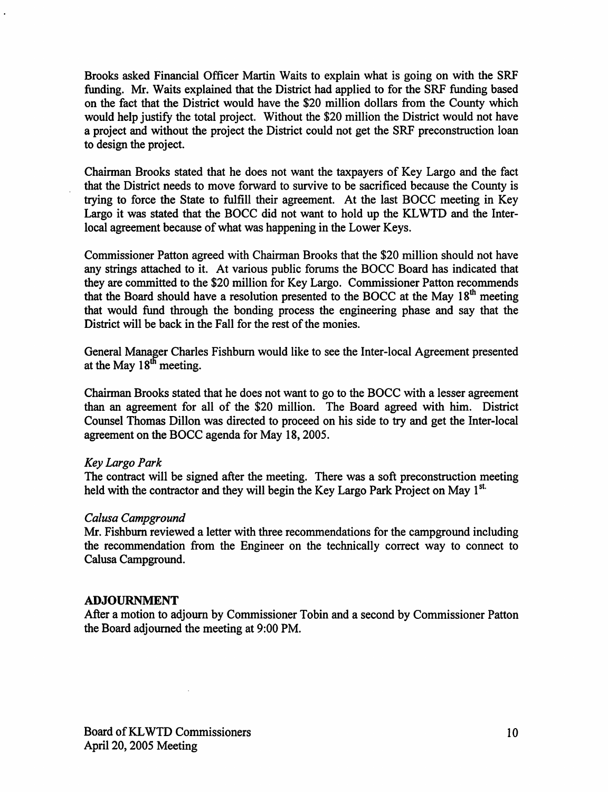Brooks asked Financial Officer Martin Waits to explain what is going on with the SRF funding. Mr. Waits explained that the District had applied to for the SRF funding based on the fact that the District would have the \$20 million dollars from the County which would help justify the total project. Without the \$20 million the District would not have a project and without the project the District could not get the SRF preconstruction loan to design the project.

Chairman Brooks stated that he does not want the taxpayers of Key Largo and the fact that the District needs to move forward to survive to be sacrificed because the County is trying to force the State to fulfill their agreement. At the last BOCC meeting in Key Largo it was stated that the BOCC did not want to hold up the KL WTD and the Interlocal agreement because of what was happening in the Lower Keys.

Commissioner Patton agreed with Chairman Brooks that the \$20 million should not have any strings attached to it. At various public forums the BOCC Board has indicated that they are committed to the \$20 million for Key Largo. Commissioner Patton recommends that the Board should have a resolution presented to the BOCC at the May 18<sup>th</sup> meeting that would fund through the bonding process the engineering phase and say that the District will be back in the Fall for the rest of the monies.

General Manager Charles Fishburn would like to see the Inter-local Agreement presented at the May  $18<sup>th</sup>$  meeting.

Chairman Brooks stated that he does not want to go to the BOCC with a lesser agreement than an agreement for all of the \$20 million. The Board agreed with him. District Counsel Thomas Dillon was directed to proceed on his side to try and get the Inter-local agreement on the BOCC agenda for May 18, 2005.

#### *Key Largo Park*

The contract will be signed after the meeting. There was a soft preconstruction meeting held with the contractor and they will begin the Key Largo Park Project on May 1<sup>st.</sup>

#### *Calusa Campground*

Mr. Fishburn reviewed a letter with three recommendations for the campground including the recommendation from the Engineer on the technically correct way to connect to Calusa Campground.

#### **ADJOURNMENT**

After a motion to adjourn by Commissioner Tobin and a second by Commissioner Patton the Board adjourned the meeting at 9:00 PM.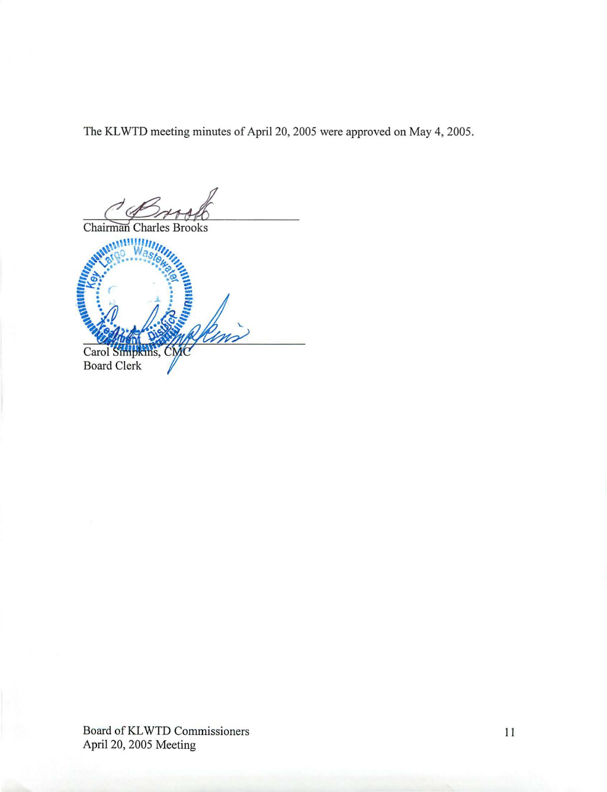The KLWTD meeting minutes of April 20, 2005 were approved on May 4, 2005.

Chairman Charles Brooks www. Carol Simpkins,<br>Board Clerk